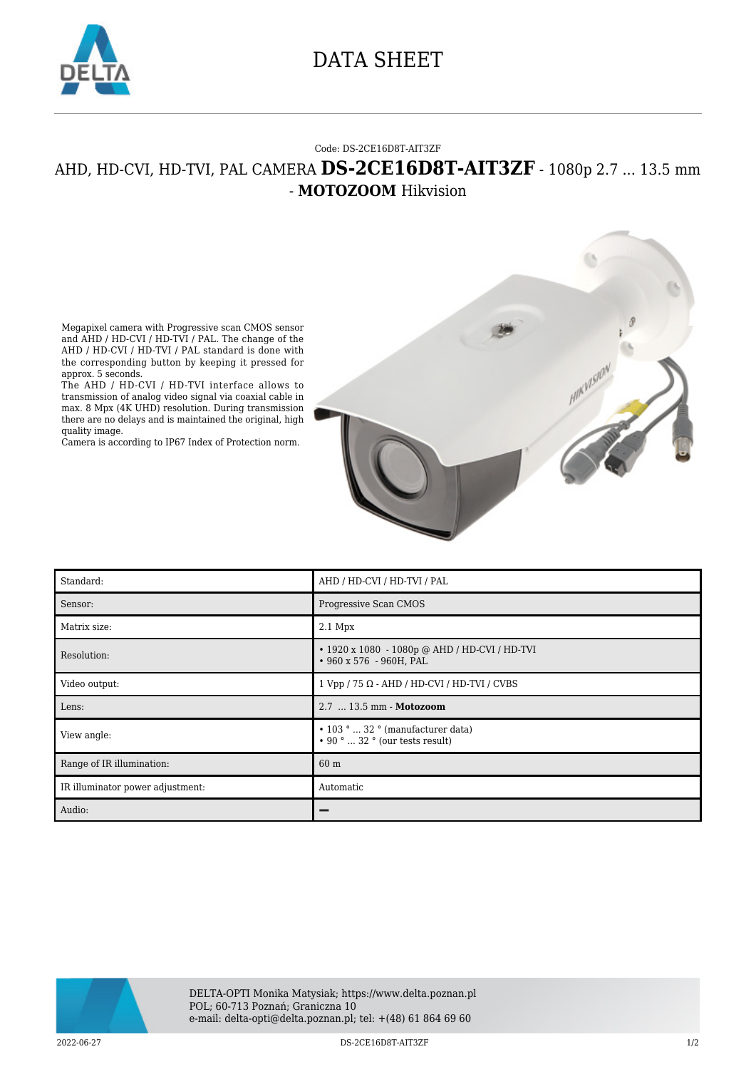

## DATA SHEET

## Code: DS-2CE16D8T-AIT3ZF

## AHD, HD-CVI, HD-TVI, PAL CAMERA **DS-2CE16D8T-AIT3ZF** - 1080p 2.7 ... 13.5 mm - **MOTOZOOM** Hikvision



Megapixel camera with Progressive scan CMOS sensor and AHD / HD-CVI / HD-TVI / PAL. The change of the AHD / HD-CVI / HD-TVI / PAL standard is done with the corresponding button by keeping it pressed for approx. 5 seconds.

The AHD / HD-CVI / HD-TVI interface allows to transmission of analog video signal via coaxial cable in max. 8 Mpx (4K UHD) resolution. During transmission there are no delays and is maintained the original, high quality image.

Camera is according to IP67 Index of Protection norm.

| Standard:                        | AHD / HD-CVI / HD-TVI / PAL                                                      |
|----------------------------------|----------------------------------------------------------------------------------|
| Sensor:                          | Progressive Scan CMOS                                                            |
| Matrix size:                     | $2.1$ Mpx                                                                        |
| Resolution:                      | • 1920 x 1080 - 1080p @ AHD / HD-CVI / HD-TVI<br>• 960 x 576 - 960H, PAL         |
| Video output:                    | $1 Vpp / 75 \Omega - AHD / HD-CVI / HD-TVI / CVBS$                               |
| Lens:                            | 2.7  13.5 mm - Motozoom                                                          |
| View angle:                      | $\cdot$ 103 °  32 ° (manufacturer data)<br>$\cdot$ 90 °  32 ° (our tests result) |
| Range of IR illumination:        | 60 m                                                                             |
| IR illuminator power adjustment: | Automatic                                                                        |
| Audio:                           |                                                                                  |



2022-06-27 DS-2CE16D8T-AIT3ZF 1/2